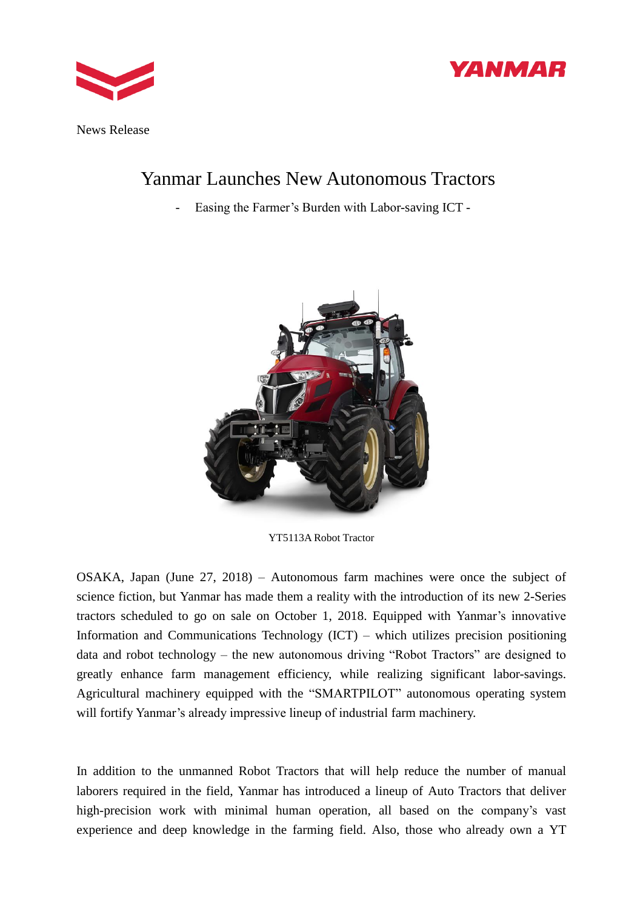



News Release

# Yanmar Launches New Autonomous Tractors

- Easing the Farmer's Burden with Labor-saving ICT -



YT5113A Robot Tractor

OSAKA, Japan (June 27, 2018) – Autonomous farm machines were once the subject of science fiction, but Yanmar has made them a reality with the introduction of its new 2-Series tractors scheduled to go on sale on October 1, 2018. Equipped with Yanmar's innovative Information and Communications Technology (ICT) – which utilizes precision positioning data and robot technology – the new autonomous driving "Robot Tractors" are designed to greatly enhance farm management efficiency, while realizing significant labor-savings. Agricultural machinery equipped with the "SMARTPILOT" autonomous operating system will fortify Yanmar's already impressive lineup of industrial farm machinery.

In addition to the unmanned Robot Tractors that will help reduce the number of manual laborers required in the field, Yanmar has introduced a lineup of Auto Tractors that deliver high-precision work with minimal human operation, all based on the company's vast experience and deep knowledge in the farming field. Also, those who already own a YT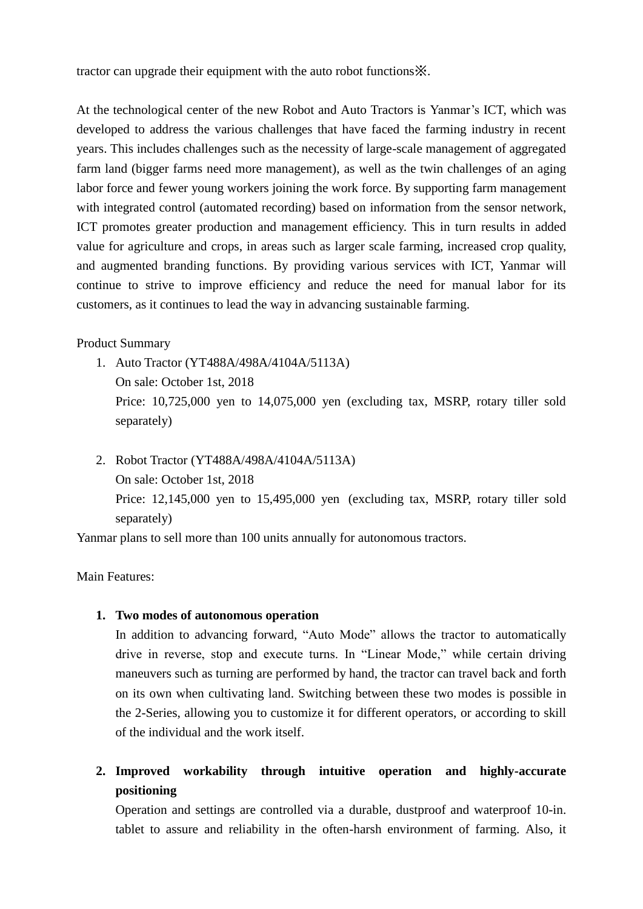tractor can upgrade their equipment with the auto robot functions※.

At the technological center of the new Robot and Auto Tractors is Yanmar's ICT, which was developed to address the various challenges that have faced the farming industry in recent years. This includes challenges such as the necessity of large-scale management of aggregated farm land (bigger farms need more management), as well as the twin challenges of an aging labor force and fewer young workers joining the work force. By supporting farm management with integrated control (automated recording) based on information from the sensor network, ICT promotes greater production and management efficiency. This in turn results in added value for agriculture and crops, in areas such as larger scale farming, increased crop quality, and augmented branding functions. By providing various services with ICT, Yanmar will continue to strive to improve efficiency and reduce the need for manual labor for its customers, as it continues to lead the way in advancing sustainable farming.

### Product Summary

- 1. Auto Tractor (YT488A/498A/4104A/5113A) On sale: October 1st, 2018 Price: 10,725,000 yen to 14,075,000 yen (excluding tax, MSRP, rotary tiller sold separately)
- 2. Robot Tractor (YT488A/498A/4104A/5113A) On sale: October 1st, 2018 Price: 12,145,000 yen to 15,495,000 yen (excluding tax, MSRP, rotary tiller sold separately)

Yanmar plans to sell more than 100 units annually for autonomous tractors.

Main Features:

## **1. Two modes of autonomous operation**

In addition to advancing forward, "Auto Mode" allows the tractor to automatically drive in reverse, stop and execute turns. In "Linear Mode," while certain driving maneuvers such as turning are performed by hand, the tractor can travel back and forth on its own when cultivating land. Switching between these two modes is possible in the 2-Series, allowing you to customize it for different operators, or according to skill of the individual and the work itself.

**2. Improved workability through intuitive operation and highly-accurate positioning** 

Operation and settings are controlled via a durable, dustproof and waterproof 10-in. tablet to assure and reliability in the often-harsh environment of farming. Also, it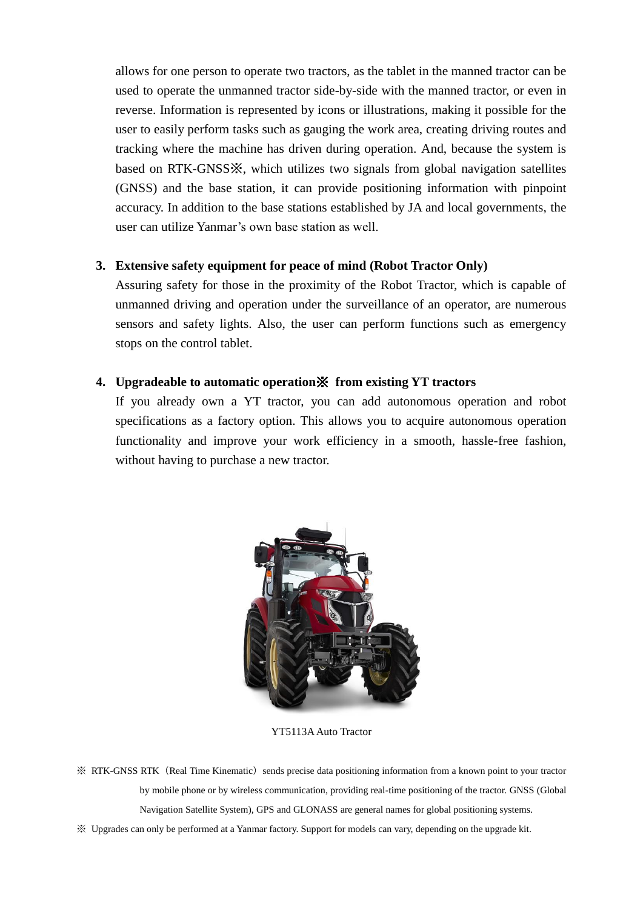allows for one person to operate two tractors, as the tablet in the manned tractor can be used to operate the unmanned tractor side-by-side with the manned tractor, or even in reverse. Information is represented by icons or illustrations, making it possible for the user to easily perform tasks such as gauging the work area, creating driving routes and tracking where the machine has driven during operation. And, because the system is based on RTK-GNSS※, which utilizes two signals from global navigation satellites (GNSS) and the base station, it can provide positioning information with pinpoint accuracy. In addition to the base stations established by JA and local governments, the user can utilize Yanmar's own base station as well.

#### **3. Extensive safety equipment for peace of mind (Robot Tractor Only)**

Assuring safety for those in the proximity of the Robot Tractor, which is capable of unmanned driving and operation under the surveillance of an operator, are numerous sensors and safety lights. Also, the user can perform functions such as emergency stops on the control tablet.

### **4. Upgradeable to automatic operation**※ **from existing YT tractors**

If you already own a YT tractor, you can add autonomous operation and robot specifications as a factory option. This allows you to acquire autonomous operation functionality and improve your work efficiency in a smooth, hassle-free fashion, without having to purchase a new tractor.



YT5113A Auto Tractor

**EXAMPERTY RTK-GNSS RTK** (Real Time Kinematic) sends precise data positioning information from a known point to your tractor by mobile phone or by wireless communication, providing real-time positioning of the tractor. GNSS (Global Navigation Satellite System), GPS and GLONASS are general names for global positioning systems.

※ Upgrades can only be performed at a Yanmar factory. Support for models can vary, depending on the upgrade kit.